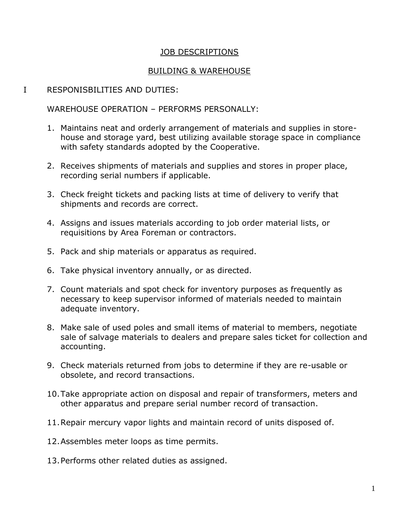## JOB DESCRIPTIONS

## BUILDING & WAREHOUSE

## I RESPONISBILITIES AND DUTIES:

## WAREHOUSE OPERATION – PERFORMS PERSONALLY:

- 1. Maintains neat and orderly arrangement of materials and supplies in storehouse and storage yard, best utilizing available storage space in compliance with safety standards adopted by the Cooperative.
- 2. Receives shipments of materials and supplies and stores in proper place, recording serial numbers if applicable.
- 3. Check freight tickets and packing lists at time of delivery to verify that shipments and records are correct.
- 4. Assigns and issues materials according to job order material lists, or requisitions by Area Foreman or contractors.
- 5. Pack and ship materials or apparatus as required.
- 6. Take physical inventory annually, or as directed.
- 7. Count materials and spot check for inventory purposes as frequently as necessary to keep supervisor informed of materials needed to maintain adequate inventory.
- 8. Make sale of used poles and small items of material to members, negotiate sale of salvage materials to dealers and prepare sales ticket for collection and accounting.
- 9. Check materials returned from jobs to determine if they are re-usable or obsolete, and record transactions.
- 10.Take appropriate action on disposal and repair of transformers, meters and other apparatus and prepare serial number record of transaction.
- 11.Repair mercury vapor lights and maintain record of units disposed of.
- 12.Assembles meter loops as time permits.
- 13.Performs other related duties as assigned.